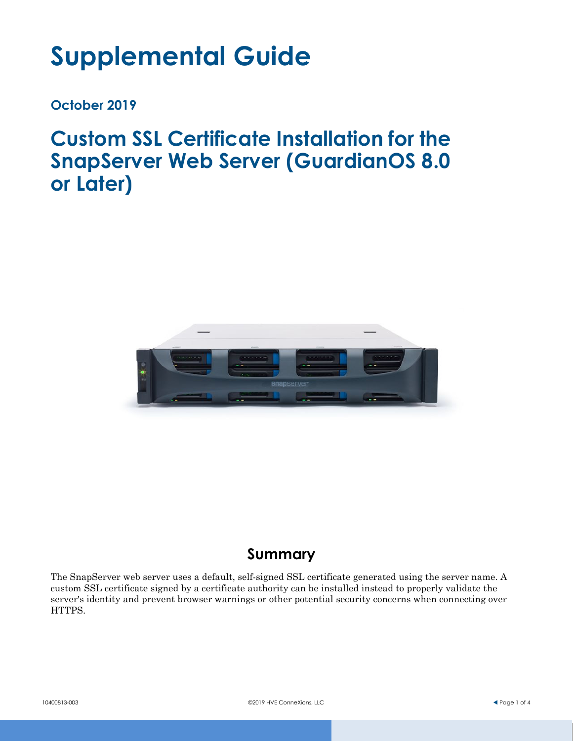# **Supplemental Guide**

**October 2019**

**Custom SSL Certificate Installation for the SnapServer Web Server (GuardianOS 8.0 or Later)**



# **Summary**

The SnapServer web server uses a default, self-signed SSL certificate generated using the server name. A custom SSL certificate signed by a certificate authority can be installed instead to properly validate the server's identity and prevent browser warnings or other potential security concerns when connecting over HTTPS.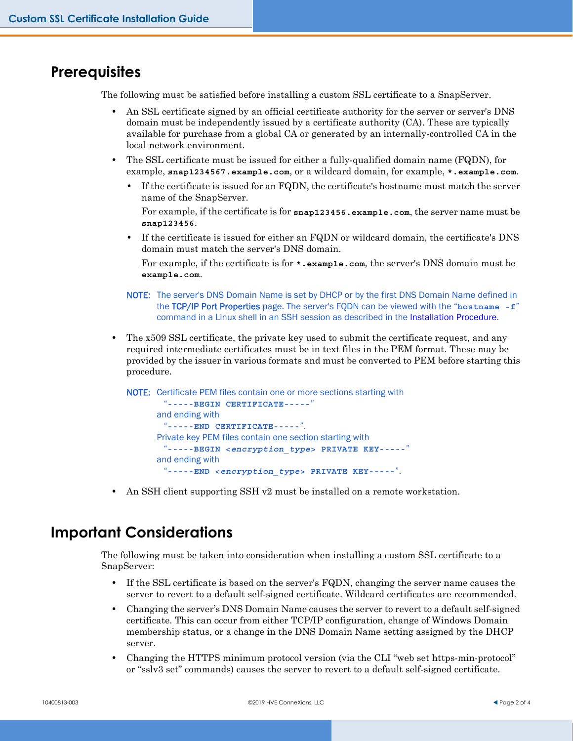#### **Prerequisites**

The following must be satisfied before installing a custom SSL certificate to a SnapServer.

- **•** An SSL certificate signed by an official certificate authority for the server or server's DNS domain must be independently issued by a certificate authority (CA). These are typically available for purchase from a global CA or generated by an internally-controlled CA in the local network environment.
- **•** The SSL certificate must be issued for either a fully-qualified domain name (FQDN), for example, **snap1234567.example.com**, or a wildcard domain, for example, **\*.example.com**.
	- **•** If the certificate is issued for an FQDN, the certificate's hostname must match the server name of the SnapServer.

For example, if the certificate is for **snap123456.example.com**, the server name must be **snap123456**.

**•** If the certificate is issued for either an FQDN or wildcard domain, the certificate's DNS domain must match the server's DNS domain.

For example, if the certificate is for **\*.example.com**, the server's DNS domain must be **example.com**.

- NOTE: The server's DNS Domain Name is set by DHCP or by the first DNS Domain Name defined in the TCP/IP Port Properties page. The server's FQDN can be viewed with the "**hostname -f**" command in a Linux shell in an SSH session as described in the [Installation Procedure.](#page-2-0)
- **•** The x509 SSL certificate, the private key used to submit the certificate request, and any required intermediate certificates must be in text files in the PEM format. These may be provided by the issuer in various formats and must be converted to PEM before starting this procedure.

NOTE: Certificate PEM files contain one or more sections starting with "**-----BEGIN CERTIFICATE-----**" and ending with "**-----END CERTIFICATE-----**". Private key PEM files contain one section starting with "**-----BEGIN <***encryption\_type***> PRIVATE KEY-----**" and ending with "**-----END <***encryption\_type***> PRIVATE KEY-----**".

**•** An SSH client supporting SSH v2 must be installed on a remote workstation.

## **Important Considerations**

The following must be taken into consideration when installing a custom SSL certificate to a SnapServer:

- **•** If the SSL certificate is based on the server's FQDN, changing the server name causes the server to revert to a default self-signed certificate. Wildcard certificates are recommended.
- **•** Changing the server's DNS Domain Name causes the server to revert to a default self-signed certificate. This can occur from either TCP/IP configuration, change of Windows Domain membership status, or a change in the DNS Domain Name setting assigned by the DHCP server.
- **•** Changing the HTTPS minimum protocol version (via the CLI "web set https-min-protocol" or "sslv3 set" commands) causes the server to revert to a default self-signed certificate.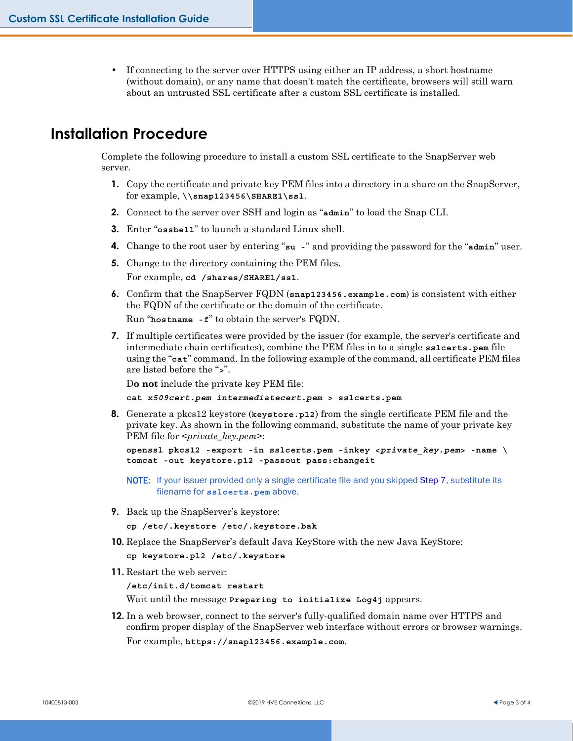**•** If connecting to the server over HTTPS using either an IP address, a short hostname (without domain), or any name that doesn't match the certificate, browsers will still warn about an untrusted SSL certificate after a custom SSL certificate is installed.

### <span id="page-2-0"></span>**Installation Procedure**

Complete the following procedure to install a custom SSL certificate to the SnapServer web server.

- **1.** Copy the certificate and private key PEM files into a directory in a share on the SnapServer, for example, **\\snap123456\SHARE1\ssl**.
- **2.** Connect to the server over SSH and login as "**admin**" to load the Snap CLI.
- **3.** Enter "**osshell**" to launch a standard Linux shell.
- **4.** Change to the root user by entering "**su -**" and providing the password for the "**admin**" user.
- **5.** Change to the directory containing the PEM files. For example, **cd /shares/SHARE1/ssl**.
- **6.** Confirm that the SnapServer FQDN (**snap123456.example.com**) is consistent with either the FQDN of the certificate or the domain of the certificate.

Run "**hostname -f**" to obtain the server's FQDN.

<span id="page-2-1"></span>**7.** If multiple certificates were provided by the issuer (for example, the server's certificate and intermediate chain certificates), combine the PEM files in to a single **sslcerts.pem** file using the "**cat**" command. In the following example of the command, all certificate PEM files are listed before the "**>**".

D**o not** include the private key PEM file:

**cat** *x509cert.pem intermediatecert.pem* **> sslcerts.pem**

**8.** Generate a pkcs12 keystore (**keystore.p12**) from the single certificate PEM file and the private key. As shown in the following command, substitute the name of your private key PEM file for <*private\_key.pem*>:

```
openssl pkcs12 -export -in sslcerts.pem -inkey <private_key.pem> -name \ 
tomcat -out keystore.p12 -passout pass:changeit
```
NOTE: If your issuer provided only a single certificate file and you skipped [Step 7,](#page-2-1) substitute its filename for **sslcerts.pem** above.

**9.** Back up the SnapServer's keystore:

```
cp /etc/.keystore /etc/.keystore.bak
```
**10.** Replace the SnapServer's default Java KeyStore with the new Java KeyStore:

**cp keystore.p12 /etc/.keystore**

**11.** Restart the web server:

**/etc/init.d/tomcat restart**

Wait until the message **Preparing to initialize Log4j** appears.

**12.** In a web browser, connect to the server's fully-qualified domain name over HTTPS and confirm proper display of the SnapServer web interface without errors or browser warnings. For example, **https://snap123456.example.com**.